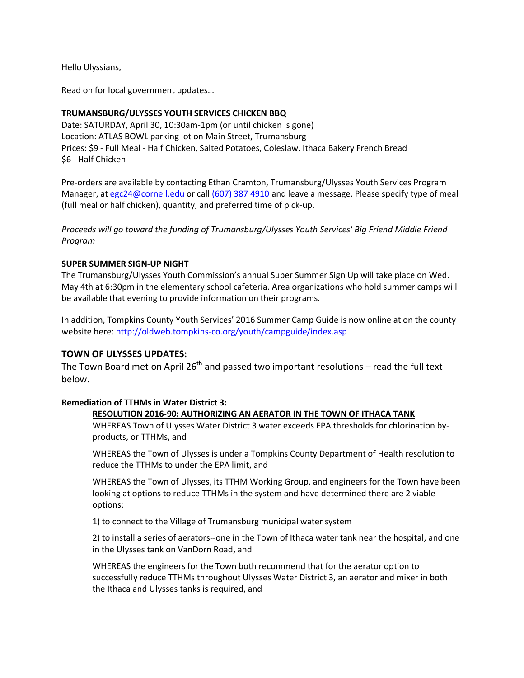Hello Ulyssians,

Read on for local government updates…

### **TRUMANSBURG/ULYSSES YOUTH SERVICES CHICKEN BBQ**

Date: SATURDAY, April 30, 10:30am-1pm (or until chicken is gone) Location: ATLAS BOWL parking lot on Main Street, Trumansburg Prices: \$9 - Full Meal - Half Chicken, Salted Potatoes, Coleslaw, Ithaca Bakery French Bread \$6 - Half Chicken

Pre-orders are available by contacting Ethan Cramton, Trumansburg/Ulysses Youth Services Program Manager, at [egc24@cornell.edu](mailto:egc24@cornell.edu) or call (607) [387 4910](tel:%28607%29%C2%A0387%204910) and leave a message. Please specify type of meal (full meal or half chicken), quantity, and preferred time of pick-up.

*Proceeds will go toward the funding of Trumansburg/Ulysses Youth Services' Big Friend Middle Friend Program*

#### **SUPER SUMMER SIGN-UP NIGHT**

The Trumansburg/Ulysses Youth Commission's annual Super Summer Sign Up will take place on Wed. May 4th at 6:30pm in the elementary school cafeteria. Area organizations who hold summer camps will be available that evening to provide information on their programs.

In addition, Tompkins County Youth Services' 2016 Summer Camp Guide is now online at on the county website here[: http://oldweb.tompkins-co.org/youth/campguide/index.asp](http://oldweb.tompkins-co.org/youth/campguide/index.asp)

#### **TOWN OF ULYSSES UPDATES:**

The Town Board met on April  $26<sup>th</sup>$  and passed two important resolutions – read the full text below.

#### **Remediation of TTHMs in Water District 3:**

#### **RESOLUTION 2016-90: AUTHORIZING AN AERATOR IN THE TOWN OF ITHACA TANK**

WHEREAS Town of Ulysses Water District 3 water exceeds EPA thresholds for chlorination byproducts, or TTHMs, and

WHEREAS the Town of Ulysses is under a Tompkins County Department of Health resolution to reduce the TTHMs to under the EPA limit, and

WHEREAS the Town of Ulysses, its TTHM Working Group, and engineers for the Town have been looking at options to reduce TTHMs in the system and have determined there are 2 viable options:

1) to connect to the Village of Trumansburg municipal water system

2) to install a series of aerators--one in the Town of Ithaca water tank near the hospital, and one in the Ulysses tank on VanDorn Road, and

WHEREAS the engineers for the Town both recommend that for the aerator option to successfully reduce TTHMs throughout Ulysses Water District 3, an aerator and mixer in both the Ithaca and Ulysses tanks is required, and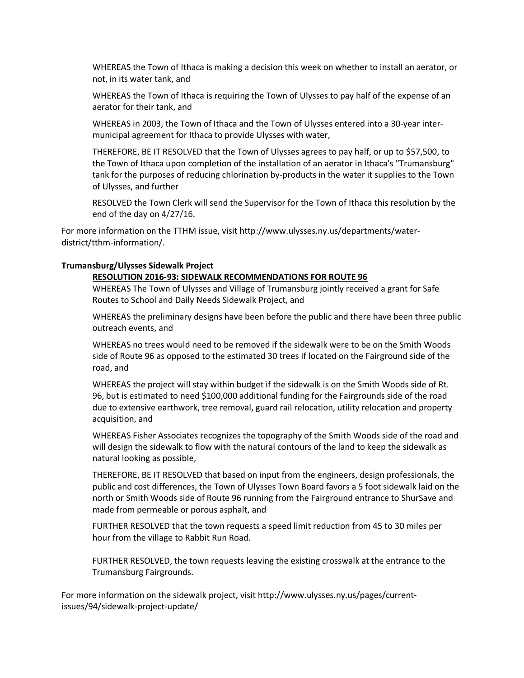WHEREAS the Town of Ithaca is making a decision this week on whether to install an aerator, or not, in its water tank, and

WHEREAS the Town of Ithaca is requiring the Town of Ulysses to pay half of the expense of an aerator for their tank, and

WHEREAS in 2003, the Town of Ithaca and the Town of Ulysses entered into a 30-year intermunicipal agreement for Ithaca to provide Ulysses with water,

THEREFORE, BE IT RESOLVED that the Town of Ulysses agrees to pay half, or up to \$57,500, to the Town of Ithaca upon completion of the installation of an aerator in Ithaca's "Trumansburg" tank for the purposes of reducing chlorination by-products in the water it supplies to the Town of Ulysses, and further

RESOLVED the Town Clerk will send the Supervisor for the Town of Ithaca this resolution by the end of the day on 4/27/16.

For more information on the TTHM issue, visit http://www.ulysses.ny.us/departments/waterdistrict/tthm-information/.

### **Trumansburg/Ulysses Sidewalk Project**

#### **RESOLUTION 2016-93: SIDEWALK RECOMMENDATIONS FOR ROUTE 96**

WHEREAS The Town of Ulysses and Village of Trumansburg jointly received a grant for Safe Routes to School and Daily Needs Sidewalk Project, and

WHEREAS the preliminary designs have been before the public and there have been three public outreach events, and

WHEREAS no trees would need to be removed if the sidewalk were to be on the Smith Woods side of Route 96 as opposed to the estimated 30 trees if located on the Fairground side of the road, and

WHEREAS the project will stay within budget if the sidewalk is on the Smith Woods side of Rt. 96, but is estimated to need \$100,000 additional funding for the Fairgrounds side of the road due to extensive earthwork, tree removal, guard rail relocation, utility relocation and property acquisition, and

WHEREAS Fisher Associates recognizes the topography of the Smith Woods side of the road and will design the sidewalk to flow with the natural contours of the land to keep the sidewalk as natural looking as possible,

THEREFORE, BE IT RESOLVED that based on input from the engineers, design professionals, the public and cost differences, the Town of Ulysses Town Board favors a 5 foot sidewalk laid on the north or Smith Woods side of Route 96 running from the Fairground entrance to ShurSave and made from permeable or porous asphalt, and

FURTHER RESOLVED that the town requests a speed limit reduction from 45 to 30 miles per hour from the village to Rabbit Run Road.

FURTHER RESOLVED, the town requests leaving the existing crosswalk at the entrance to the Trumansburg Fairgrounds.

For more information on the sidewalk project, visit http://www.ulysses.ny.us/pages/currentissues/94/sidewalk-project-update/